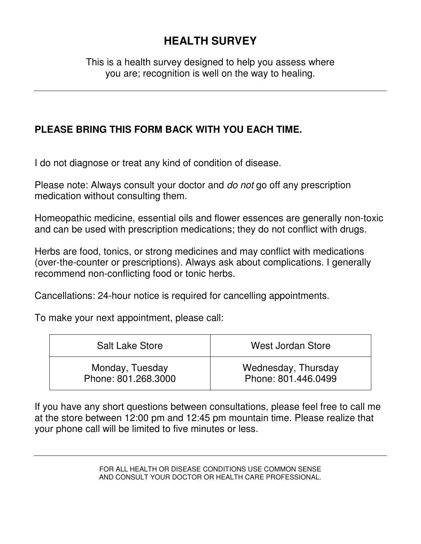# **HEALTH SURVEY**

This is a health survey designed to help you assess where you are; recognition is well on the way to healing.

## **PLEASE BRING THIS FORM BACK WITH YOU EACH TIME.**

I do not diagnose or treat any kind of condition of disease.

Please note: Always consult your doctor and do not go off any prescription medication without consulting them.

Homeopathic medicine, essential oils and flower essences are generally non-toxic and can be used with prescription medications; they do not conflict with drugs.

Herbs are food, tonics, or strong medicines and may conflict with medications (over-the-counter or prescriptions). Always ask about complications. I generally recommend non-conflicting food or tonic herbs.

Cancellations: 24-hour notice is required for cancelling appointments.

To make your next appointment, please call:

| <b>Salt Lake Store</b> | West Jordan Store   |
|------------------------|---------------------|
| Monday, Tuesday        | Wednesday, Thursday |
| Phone: 801.268.3000    | Phone: 801.446.0499 |

If you have any short questions between consultations, please feel free to call me at the store between 12:00 pm and 12:45 pm mountain time. Please realize that your phone call will be limited to five minutes or less.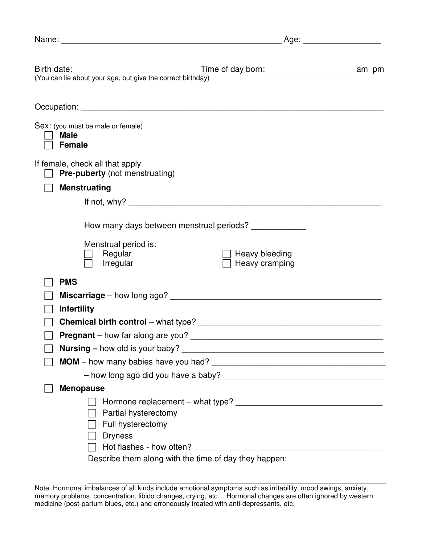|                                                                          |                                                                                   | _Age: _____________________ |
|--------------------------------------------------------------------------|-----------------------------------------------------------------------------------|-----------------------------|
|                                                                          |                                                                                   |                             |
|                                                                          |                                                                                   |                             |
| Sex: (you must be male or female)<br><b>Male</b><br><b>Female</b>        |                                                                                   |                             |
| If female, check all that apply<br><b>Pre-puberty</b> (not menstruating) |                                                                                   |                             |
| <b>Menstruating</b>                                                      |                                                                                   |                             |
|                                                                          |                                                                                   |                             |
| Menstrual period is:<br>Regular<br>Irregular                             | How many days between menstrual periods?<br>Heavy bleeding<br>Heavy cramping      |                             |
| <b>PMS</b>                                                               |                                                                                   |                             |
|                                                                          |                                                                                   |                             |
| <b>Infertility</b>                                                       |                                                                                   |                             |
|                                                                          |                                                                                   |                             |
|                                                                          |                                                                                   |                             |
|                                                                          |                                                                                   |                             |
|                                                                          |                                                                                   |                             |
|                                                                          |                                                                                   |                             |
| <b>Menopause</b>                                                         |                                                                                   |                             |
| Partial hysterectomy<br>Full hysterectomy<br><b>Dryness</b>              | Hot flashes - how often?<br>Describe them along with the time of day they happen: |                             |

Note: Hormonal imbalances of all kinds include emotional symptoms such as irritability, mood swings, anxiety, memory problems, concentration, libido changes, crying, etc… Hormonal changes are often ignored by western medicine (post-partum blues, etc.) and erroneously treated with anti-depressants, etc.

\_\_\_\_\_\_\_\_\_\_\_\_\_\_\_\_\_\_\_\_\_\_\_\_\_\_\_\_\_\_\_\_\_\_\_\_\_\_\_\_\_\_\_\_\_\_\_\_\_\_\_\_\_\_\_\_\_\_\_\_\_\_\_\_\_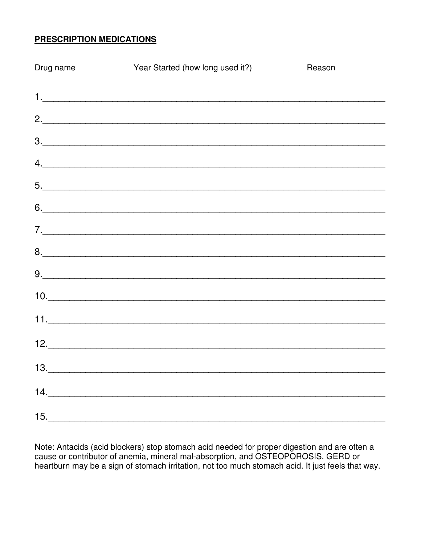### **PRESCRIPTION MEDICATIONS**

| Drug name | Year Started (how long used it?)                                                                                                                                                                                                                                                                                                                                                                                                                                                       | Reason |
|-----------|----------------------------------------------------------------------------------------------------------------------------------------------------------------------------------------------------------------------------------------------------------------------------------------------------------------------------------------------------------------------------------------------------------------------------------------------------------------------------------------|--------|
|           | $\begin{array}{c} \n\textbf{1} \quad \textbf{1} \quad \textbf{1} \quad \textbf{1} \quad \textbf{1} \quad \textbf{1} \quad \textbf{1} \quad \textbf{1} \quad \textbf{1} \quad \textbf{1} \quad \textbf{1} \quad \textbf{1} \quad \textbf{1} \quad \textbf{1} \quad \textbf{1} \quad \textbf{1} \quad \textbf{1} \quad \textbf{1} \quad \textbf{1} \quad \textbf{1} \quad \textbf{1} \quad \textbf{1} \quad \textbf{1} \quad \textbf{1} \quad \textbf{1} \quad \textbf{1} \quad \textbf$ |        |
|           |                                                                                                                                                                                                                                                                                                                                                                                                                                                                                        |        |
|           | $\begin{array}{c} \hline \text{3.} \end{array}$                                                                                                                                                                                                                                                                                                                                                                                                                                        |        |
|           | 4.                                                                                                                                                                                                                                                                                                                                                                                                                                                                                     |        |
|           |                                                                                                                                                                                                                                                                                                                                                                                                                                                                                        |        |
|           | $6.$                                                                                                                                                                                                                                                                                                                                                                                                                                                                                   |        |
|           | 7.                                                                                                                                                                                                                                                                                                                                                                                                                                                                                     |        |
|           | $8. \qquad \qquad 8. \qquad \qquad 8. \qquad \qquad 8. \qquad \qquad 8. \qquad \qquad 8. \qquad \qquad 8. \qquad \qquad 8. \qquad \qquad 8. \qquad \qquad 8. \qquad \qquad 8. \qquad \qquad 8. \qquad \qquad 8. \qquad \qquad 8. \qquad \qquad 8. \qquad \qquad 8. \qquad \qquad 8. \qquad \qquad 8. \qquad \qquad 8. \qquad \qquad 8. \qquad \qquad 8. \qquad \qquad 8. \qquad \qquad 8. \qquad \qquad 8. \qquad \qquad 8. \q$                                                        |        |
|           |                                                                                                                                                                                                                                                                                                                                                                                                                                                                                        |        |
|           | 10.                                                                                                                                                                                                                                                                                                                                                                                                                                                                                    |        |
|           |                                                                                                                                                                                                                                                                                                                                                                                                                                                                                        |        |
|           | 12.                                                                                                                                                                                                                                                                                                                                                                                                                                                                                    |        |
|           |                                                                                                                                                                                                                                                                                                                                                                                                                                                                                        |        |
|           |                                                                                                                                                                                                                                                                                                                                                                                                                                                                                        |        |
|           | $14. \qquad \qquad \overbrace{\qquad \qquad }$                                                                                                                                                                                                                                                                                                                                                                                                                                         |        |
| 15.       |                                                                                                                                                                                                                                                                                                                                                                                                                                                                                        |        |

Note: Antacids (acid blockers) stop stomach acid needed for proper digestion and are often a cause or contributor of anemia, mineral mal-absorption, and OSTEOPOROSIS. GERD or heartburn may be a sign of stomach irritation, not too much stomach acid. It just feels that way.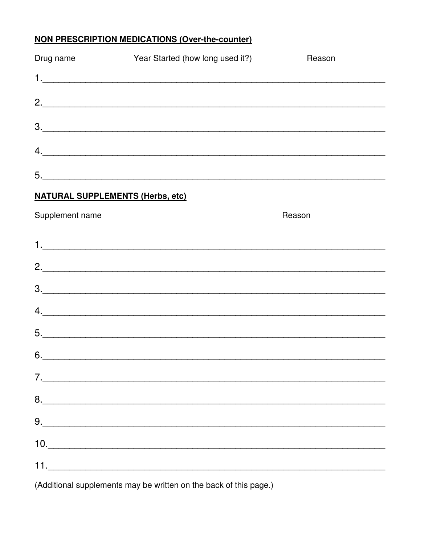## NON PRESCRIPTION MEDICATIONS (Over-the-counter)

| Drug name                               | Year Started (how long used it?)                                                                                                                                                                                                                                                                                                                                                                                                                                                                                                                    | Reason |
|-----------------------------------------|-----------------------------------------------------------------------------------------------------------------------------------------------------------------------------------------------------------------------------------------------------------------------------------------------------------------------------------------------------------------------------------------------------------------------------------------------------------------------------------------------------------------------------------------------------|--------|
|                                         | $\begin{array}{c} \n\textbf{1.} \quad \textbf{1.} \quad \textbf{1.} \quad \textbf{1.} \quad \textbf{1.} \quad \textbf{1.} \quad \textbf{1.} \quad \textbf{1.} \quad \textbf{1.} \quad \textbf{1.} \quad \textbf{1.} \quad \textbf{1.} \quad \textbf{1.} \quad \textbf{1.} \quad \textbf{1.} \quad \textbf{1.} \quad \textbf{1.} \quad \textbf{1.} \quad \textbf{1.} \quad \textbf{1.} \quad \textbf{1.} \quad \textbf{1.} \quad \textbf{1.} \quad \textbf{$                                                                                         |        |
|                                         |                                                                                                                                                                                                                                                                                                                                                                                                                                                                                                                                                     |        |
|                                         |                                                                                                                                                                                                                                                                                                                                                                                                                                                                                                                                                     |        |
|                                         | $\begin{array}{c} \n4. \quad \textcolor{blue}{\textbf{1} \cdot \textbf{1}} \quad \textcolor{blue}{\textbf{1} \cdot \textbf{1}} \quad \textcolor{blue}{\textbf{1} \cdot \textbf{1}} \quad \textcolor{blue}{\textbf{1} \cdot \textbf{1}} \quad \textcolor{blue}{\textbf{1} \cdot \textbf{1}} \quad \textcolor{blue}{\textbf{1} \cdot \textbf{1}} \quad \textcolor{blue}{\textbf{1} \cdot \textbf{1}} \quad \textcolor{blue}{\textbf{1} \cdot \textbf{1}} \quad \textcolor{blue}{\textbf{1} \cdot \textbf{1}} \quad \textcolor{blue}{\textbf$          |        |
|                                         | 5.                                                                                                                                                                                                                                                                                                                                                                                                                                                                                                                                                  |        |
| <b>NATURAL SUPPLEMENTS (Herbs, etc)</b> |                                                                                                                                                                                                                                                                                                                                                                                                                                                                                                                                                     |        |
| Supplement name                         |                                                                                                                                                                                                                                                                                                                                                                                                                                                                                                                                                     | Reason |
|                                         |                                                                                                                                                                                                                                                                                                                                                                                                                                                                                                                                                     |        |
|                                         |                                                                                                                                                                                                                                                                                                                                                                                                                                                                                                                                                     |        |
|                                         | 3.                                                                                                                                                                                                                                                                                                                                                                                                                                                                                                                                                  |        |
|                                         | 4.                                                                                                                                                                                                                                                                                                                                                                                                                                                                                                                                                  |        |
|                                         | 5.                                                                                                                                                                                                                                                                                                                                                                                                                                                                                                                                                  |        |
| 6.                                      |                                                                                                                                                                                                                                                                                                                                                                                                                                                                                                                                                     |        |
|                                         | $\begin{array}{c} \n\text{7.} \quad \text{---} \quad \text{---} \quad \text{---} \quad \text{---} \quad \text{---} \quad \text{---} \quad \text{---} \quad \text{---} \quad \text{---} \quad \text{---} \quad \text{---} \quad \text{---} \quad \text{---} \quad \text{---} \quad \text{---} \quad \text{---} \quad \text{---} \quad \text{---} \quad \text{---} \quad \text{---} \quad \text{---} \quad \text{---} \quad \text{---} \quad \text{---} \quad \text{---} \quad \text{---} \quad \text{---} \quad \text{---} \quad \text{---} \quad$   |        |
|                                         | $8. \qquad \qquad 8. \qquad \qquad 8. \qquad \qquad 1. \qquad \qquad 8. \qquad \qquad 1. \qquad \qquad 1. \qquad \qquad 1. \qquad \qquad 1. \qquad \qquad 1. \qquad \qquad 1. \qquad \qquad 1. \qquad \qquad 1. \qquad \qquad 1. \qquad \qquad 1. \qquad \qquad 1. \qquad \qquad 1. \qquad \qquad 1. \qquad \qquad 1. \qquad \qquad 1. \qquad \qquad 1. \qquad \qquad 1. \qquad \qquad 1. \qquad \qquad 1. \qquad \qquad 1. \q$                                                                                                                     |        |
|                                         | $9.$                                                                                                                                                                                                                                                                                                                                                                                                                                                                                                                                                |        |
|                                         | $\begin{array}{c} \n 10. \quad \text{Simplies} \quad \text{Simplies} \quad \text{Simplies} \quad \text{Simplies} \quad \text{Simplies} \quad \text{Simplies} \quad \text{Simplies} \quad \text{Simplies} \quad \text{Simplies} \quad \text{Simplies} \quad \text{Simplies} \quad \text{Simplies} \quad \text{Simplies} \quad \text{Simplies} \quad \text{Simplies} \quad \text{Simplies} \quad \text{Simplies} \quad \text{Simplies} \quad \text{Simplies} \quad \text{Simplies} \quad \text{Simplies} \quad \text{Simplies} \quad \text{Simplies}$ |        |
|                                         | 11.                                                                                                                                                                                                                                                                                                                                                                                                                                                                                                                                                 |        |

(Additional supplements may be written on the back of this page.)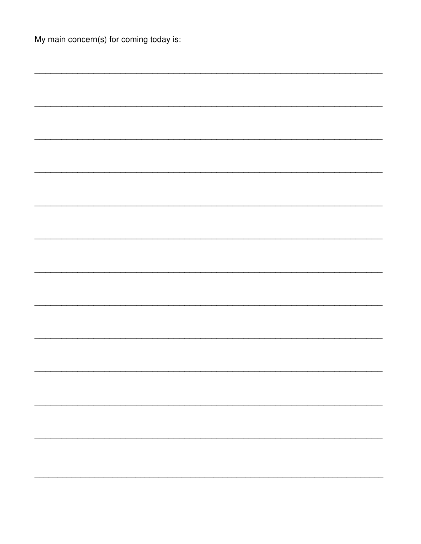| My main concern(s) for coming today is: |  |
|-----------------------------------------|--|
|-----------------------------------------|--|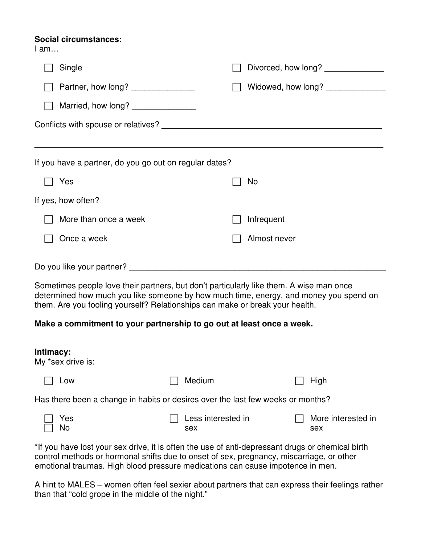#### **Social circumstances:**

I am…

| Single                                                                                 | Divorced, how long? ______________ |
|----------------------------------------------------------------------------------------|------------------------------------|
| Partner, how long?                                                                     | Widowed, how long? ______________  |
| Married, how long? _______________                                                     |                                    |
|                                                                                        |                                    |
|                                                                                        |                                    |
| If you have a partner, do you go out on regular dates?                                 |                                    |
| Yes                                                                                    | No.                                |
| If yes, how often?                                                                     |                                    |
| More than once a week                                                                  | Infrequent                         |
| Once a week                                                                            | Almost never                       |
| Cometimes noonle leus their northean but den't norticulerly like them. A wise mon ones |                                    |

Sometimes people love their partners, but don't particularly like them. A wise man once determined how much you like someone by how much time, energy, and money you spend on them. Are you fooling yourself? Relationships can make or break your health.

#### **Make a commitment to your partnership to go out at least once a week.**

| Intimacy:<br>My *sex drive is:                                                                                                         |                           |                           |
|----------------------------------------------------------------------------------------------------------------------------------------|---------------------------|---------------------------|
| Low                                                                                                                                    | Medium                    | High                      |
| Has there been a change in habits or desires over the last few weeks or months?                                                        |                           |                           |
| Yes<br>No                                                                                                                              | Less interested in<br>sex | More interested in<br>sex |
| والمراوا وماروسه وامرسها وسيسام للمتموم ومستملو اللمتمركم بمميز والمستطلق والمناس أستناء والمستحدث والمستمر المستحل والمستحل والمستحدث |                           |                           |

If you have lost your sex drive, it is often the use of anti-depressant drugs or chemical birth control methods or hormonal shifts due to onset of sex, pregnancy, miscarriage, or other emotional traumas. High blood pressure medications can cause impotence in men.

A hint to MALES – women often feel sexier about partners that can express their feelings rather than that "cold grope in the middle of the night."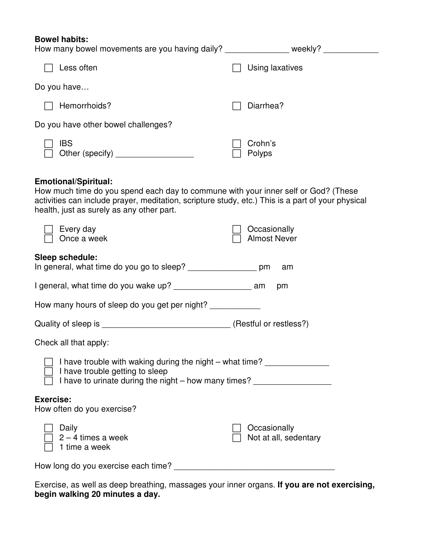| <b>Bowel habits:</b><br>How many bowel movements are you having daily? ________________ weekly? _____________                                                                                                                                                       |                                       |
|---------------------------------------------------------------------------------------------------------------------------------------------------------------------------------------------------------------------------------------------------------------------|---------------------------------------|
| Less often                                                                                                                                                                                                                                                          | Using laxatives                       |
| Do you have                                                                                                                                                                                                                                                         |                                       |
| Hemorrhoids?                                                                                                                                                                                                                                                        | Diarrhea?                             |
| Do you have other bowel challenges?                                                                                                                                                                                                                                 |                                       |
| <b>IBS</b>                                                                                                                                                                                                                                                          | Crohn's<br>Polyps                     |
| <b>Emotional/Spiritual:</b><br>How much time do you spend each day to commune with your inner self or God? (These<br>activities can include prayer, meditation, scripture study, etc.) This is a part of your physical<br>health, just as surely as any other part. |                                       |
| Every day<br>Once a week                                                                                                                                                                                                                                            | Occasionally<br><b>Almost Never</b>   |
| Sleep schedule:<br>In general, what time do you go to sleep? __________________ pm                                                                                                                                                                                  | am                                    |
|                                                                                                                                                                                                                                                                     | pm                                    |
| How many hours of sleep do you get per night?                                                                                                                                                                                                                       |                                       |
|                                                                                                                                                                                                                                                                     |                                       |
| Check all that apply:                                                                                                                                                                                                                                               |                                       |
| I have trouble with waking during the night – what time?<br>I have trouble getting to sleep<br>I have to urinate during the night - how many times? ___________________________                                                                                     |                                       |
| <b>Exercise:</b><br>How often do you exercise?                                                                                                                                                                                                                      |                                       |
| Daily<br>$2 - 4$ times a week<br>1 time a week                                                                                                                                                                                                                      | Occasionally<br>Not at all, sedentary |
| How long do you exercise each time?                                                                                                                                                                                                                                 |                                       |

Exercise, as well as deep breathing, massages your inner organs. **If you are not exercising, begin walking 20 minutes a day.**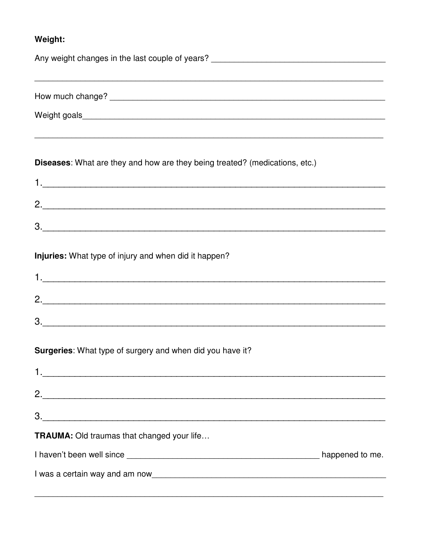## Weight:

| <b>Diseases:</b> What are they and how are they being treated? (medications, etc.) |  |
|------------------------------------------------------------------------------------|--|
| $1.$ $\overline{\phantom{a}}$                                                      |  |
|                                                                                    |  |
| $\begin{array}{c} \hline \text{3.} \end{array}$                                    |  |
| Injuries: What type of injury and when did it happen?                              |  |
| $1.$ $\overline{\phantom{a}}$                                                      |  |
|                                                                                    |  |
|                                                                                    |  |
| Surgeries: What type of surgery and when did you have it?                          |  |
|                                                                                    |  |
|                                                                                    |  |
| 3.                                                                                 |  |
| TRAUMA: Old traumas that changed your life                                         |  |
|                                                                                    |  |
|                                                                                    |  |
|                                                                                    |  |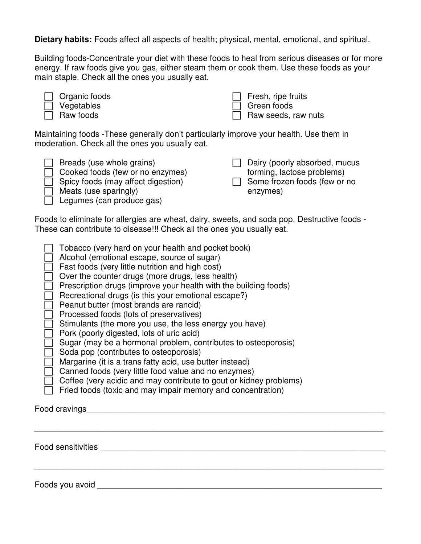**Dietary habits:** Foods affect all aspects of health; physical, mental, emotional, and spiritual.

Building foods-Concentrate your diet with these foods to heal from serious diseases or for more energy. If raw foods give you gas, either steam them or cook them. Use these foods as your main staple. Check all the ones you usually eat.

| Organic foods |
|---------------|
| Vegetables    |
| Raw foods     |

|  | $\Box$ Fresh, ripe fruits |  |
|--|---------------------------|--|
|  |                           |  |

Green foods

ods.

Raw seeds, raw nuts

Maintaining foods -These generally don't particularly improve your health. Use them in moderation. Check all the ones you usually eat.

| Breads (use whole grains)<br>Cooked foods (few or no enzymes) | Dairy (poorly absorbed, mucus<br>forming, lactose problems) |
|---------------------------------------------------------------|-------------------------------------------------------------|
| Spicy foods (may affect digestion)                            | $\Box$ Some frozen foods (few or no                         |
| Meats (use sparingly)                                         | enzymes)                                                    |
| Legumes (can produce gas)                                     |                                                             |

Foods to eliminate for allergies are wheat, dairy, sweets, and soda pop. Destructive foods - These can contribute to disease!!! Check all the ones you usually eat.

\_\_\_\_\_\_\_\_\_\_\_\_\_\_\_\_\_\_\_\_\_\_\_\_\_\_\_\_\_\_\_\_\_\_\_\_\_\_\_\_\_\_\_\_\_\_\_\_\_\_\_\_\_\_\_\_\_\_\_\_\_\_\_\_\_\_\_\_\_\_\_\_\_\_\_\_

| Tobacco (very hard on your health and pocket book)<br>Alcohol (emotional escape, source of sugar) |
|---------------------------------------------------------------------------------------------------|
| Fast foods (very little nutrition and high cost)                                                  |
| Over the counter drugs (more drugs, less health)                                                  |
| Prescription drugs (improve your health with the building foods)                                  |
| Recreational drugs (is this your emotional escape?)                                               |
| Peanut butter (most brands are rancid)                                                            |
| Processed foods (lots of preservatives)                                                           |
| Stimulants (the more you use, the less energy you have)                                           |
| Pork (poorly digested, lots of uric acid)                                                         |
| Sugar (may be a hormonal problem, contributes to osteoporosis)                                    |
| Soda pop (contributes to osteoporosis)                                                            |
| Margarine (it is a trans fatty acid, use butter instead)                                          |
| Canned foods (very little food value and no enzymes)                                              |
| Coffee (very acidic and may contribute to gout or kidney problems)                                |
| Fried foods (toxic and may impair memory and concentration)                                       |
|                                                                                                   |

Food cravings\_\_\_\_\_\_\_\_\_\_\_\_\_\_\_\_\_\_\_\_\_\_\_\_\_\_\_\_\_\_\_\_\_\_\_\_\_\_\_\_\_\_\_\_\_\_\_\_\_\_\_\_\_\_\_\_\_\_\_\_\_\_\_\_\_

Food sensitivities \_\_\_\_\_\_\_\_\_\_\_\_\_\_\_\_\_\_\_\_\_\_\_\_\_\_\_\_\_\_\_\_\_\_\_\_\_\_\_\_\_\_\_\_\_\_\_\_\_\_\_\_\_\_\_\_\_\_\_\_\_\_

Foods you avoid \_\_\_\_\_\_\_\_\_\_\_\_\_\_\_\_\_\_\_\_\_\_\_\_\_\_\_\_\_\_\_\_\_\_\_\_\_\_\_\_\_\_\_\_\_\_\_\_\_\_\_\_\_\_\_\_\_\_\_\_\_\_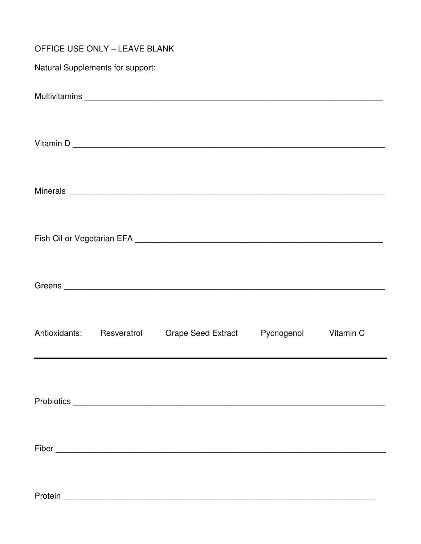### **OFFICE USE ONLY - LEAVE BLANK**

Natural Supplements for support:

|  |                           | Greens                        |  |           |  |  |  |  |  |
|--|---------------------------|-------------------------------|--|-----------|--|--|--|--|--|
|  | Antioxidants: Resveratrol | Grape Seed Extract Pycnogenol |  | Vitamin C |  |  |  |  |  |
|  |                           |                               |  |           |  |  |  |  |  |
|  |                           |                               |  |           |  |  |  |  |  |
|  |                           |                               |  |           |  |  |  |  |  |